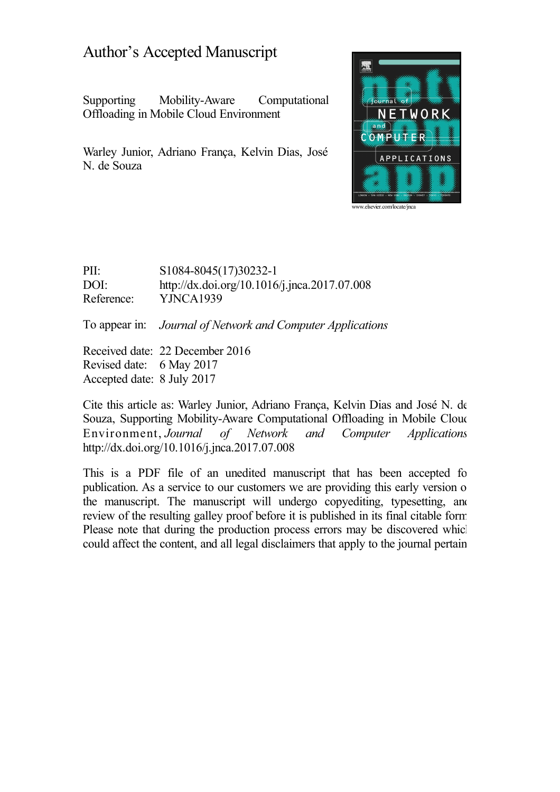## Author's Accepted Manuscript

Supporting Mobility-Aware Computational Offloading in Mobile Cloud Environment

Warley Junior, Adriano França, Kelvin Dias, José N. de Souza



PII: S1084-8045(17)30232-1 DOI: <http://dx.doi.org/10.1016/j.jnca.2017.07.008> Reference: YJNCA1939

To appear in: *Journal of Network and Computer Applications*

Received date: 22 December 2016 Revised date: 6 May 2017 Accepted date: 8 July 2017

Cite this article as: Warley Junior, Adriano França, Kelvin Dias and José N. de Souza, Supporting Mobility-Aware Computational Offloading in Mobile Cloud Environment, *Journal of Network and Computer Applications,* <http://dx.doi.org/10.1016/j.jnca.2017.07.008>

This is a PDF file of an unedited manuscript that has been accepted for publication. As a service to our customers we are providing this early version of the manuscript. The manuscript will undergo copyediting, typesetting, and review of the resulting galley proof before it is published in its final citable form. Please note that during the production process errors may be discovered which could affect the content, and all legal disclaimers that apply to the journal pertain.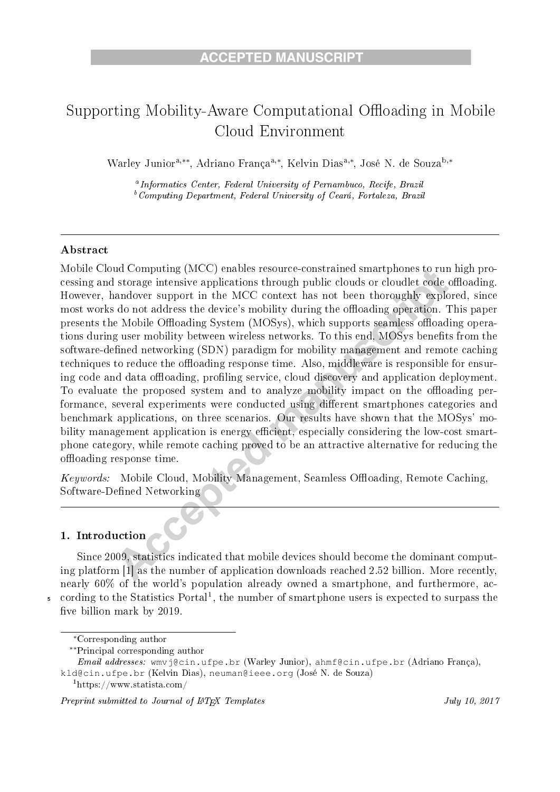# Supporting Mobility-Aware Computational Offloading in Mobile Cloud Environment

Warley Junior<sup>a,\*\*</sup>, Adriano França<sup>a,\*</sup>, Kelvin Dias<sup>a,\*</sup>, José N. de Souza<sup>b,\*</sup>

<sup>a</sup>Informatics Center, Federal University of Pernambuco, Recife, Brazil  ${}^b$ Computing Department, Federal University of Ceará, Fortaleza, Brazil

#### Abstract

Mobile Cloud Computing (MCC) enables resource-constrained smartphones to run high processing and storage intensive applications through public clouds or cloudlet code offloading. However, handover support in the MCC context has not been thoroughly explored, since most works do not address the device's mobility during the offloading operation. This paper presents the Mobile Offloading System (MOSys), which supports seamless offloading operations during user mobility between wireless networks. To this end, MOSys benefits from the software-defined networking (SDN) paradigm for mobility management and remote caching techniques to reduce the offloading response time. Also, middleware is responsible for ensuring code and data offloading, profiling service, cloud discovery and application deployment. To evaluate the proposed system and to analyze mobility impact on the offloading performance, several experiments were conducted using different smartphones categories and benchmark applications, on three scenarios. Our results have shown that the MOSys' mobility management application is energy efficient, especially considering the low-cost smartphone category, while remote caching proved to be an attractive alternative for reducing the offloading response time.

*Keywords:* Mobile Cloud, Mobility Management, Seamless Offloading, Remote Caching Software-Defined Networking

#### 1. Introduction

Since 2009, statistics indicated that mobile devices should become the dominant computing platform [1] as the number of application downloads reached 2.52 billion. More recently, nearly 60% of the world's population already owned a smartphone, and furthermore, according to the Statistics Portal<sup>1</sup>, the number of smartphone users is expected to surpass the five billion mark by 2019.

Preprint submitted to Journal of IATFX Templates

<sup>\*</sup>Corresponding author

<sup>\*\*</sup>Principal corresponding author

Email addresses: wmvj@cin.ufpe.br (Warley Junior), ahmf@cin.ufpe.br (Adriano França), kld@cin.ufpe.br (Kelvin Dias), neuman@ieee.org (José N. de Souza)

 $1$ https://www.statista.com/